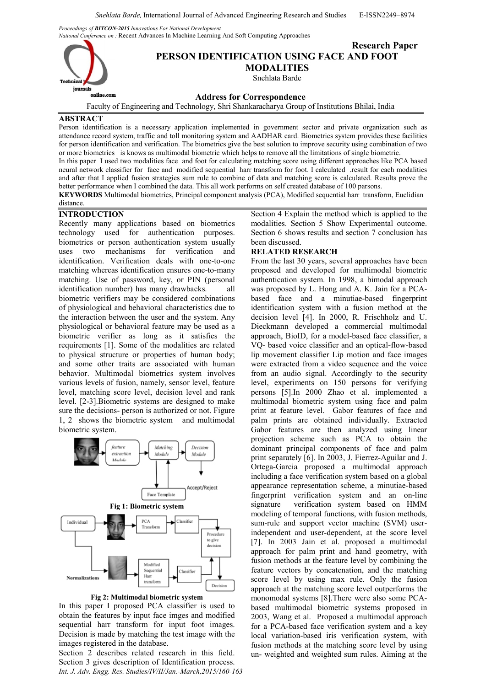*Proceedings of BITCON-2015 Innovations For National Development*

*National Conference on :* Recent Advances In Machine Learning And Soft Computing Approaches



PERSON IDENTIFICATION USING FACE AND FOOT

MODALITIES

Snehlata Barde

Address for Correspondence

Faculty of Engineering and Technology, Shri Shankaracharya Group of Institutions Bhilai, India

## ABSTRACT

Person identification is a necessary application implemented in government sector and private organization such as attendance record system, traffic and toll monitoring system and AADHAR card. Biometrics system provides these facilities for person identification and verification. The biometrics give the best solution to improve security using combination of two or more biometrics is knows as multimodal biometric which helps to remove all the limitations of single biometric.

In this paper I used two modalities face and foot for calculating matching score using different approaches like PCA based neural network classifier for face and modified sequential harr transform for foot. I calculated .result for each modalities and after that I applied fusion strategies sum rule to combine of data and matching score is calculated. Results prove the better performance when I combined the data. This all work performs on self created database of 100 parsons.

KEYWORDS Multimodal biometrics, Principal component analysis (PCA), Modified sequential harr transform, Euclidian

#### distance

## INTRODUCTION

Recently many applications based on biometrics technology used for authentication purposes. biometrics or person authentication system usually uses two mechanisms for verification and identification. Verification deals with one-to-one matching whereas identification ensures one-to-many matching. Use of password, key, or PIN (personal identification number) has many drawbacks. all biometric verifiers may be considered combinations of physiological and behavioral characteristics due to the interaction between the user and the system. Any physiological or behavioral feature may be used as a biometric verifier as long as it satisfies the requirements [1]. Some of the modalities are related to physical structure or properties of human body; and some other traits are associated with human behavior. Multimodal biometrics system involves various levels of fusion, namely, sensor level, feature level, matching score level, decision level and rank level. [2-3].Biometric systems are designed to make sure the decisions- person is authorized or not. Figure 1, 2 shows the biometric system and multimodal biometric system.





In this paper I proposed PCA classifier is used to obtain the features by input face imges and modified sequential harr transform for input foot images. Decision is made by matching the test image with the images registered in the database.

*Int. J. Adv. Engg. Res. Studies/IV/II/Jan.-March,2015/160-163* Section 2 describes related research in this field. Section 3 gives description of Identification process.

Section 4 Explain the method which is applied to the modalities. Section 5 Show Experimental outcome. Section 6 shows results and section 7 conclusion has been discussed.

Research Paper

## RELATED RESEARCH

From the last 30 years, several approaches have been proposed and developed for multimodal biometric authentication system. In 1998, a bimodal approach was proposed by L. Hong and A. K. Jain for a PCAbased face and a minutiae-based fingerprint identification system with a fusion method at the decision level [4]. In 2000, R. Frischholz and U. Dieckmann developed a commercial multimodal approach, BioID, for a model-based face classifier, a VQ- based voice classifier and an optical-flow-based lip movement classifier Lip motion and face images were extracted from a video sequence and the voice from an audio signal. Accordingly to the security level, experiments on 150 persons for verifying persons [5].In 2000 Zhao et al. implemented a multimodal biometric system using face and palm print at feature level. Gabor features of face and palm prints are obtained individually. Extracted Gabor features are then analyzed using linear projection scheme such as PCA to obtain the dominant principal components of face and palm print separately [6]. In 2003, J. Fierrez-Aguilar and J. Ortega-Garcia proposed a multimodal approach including a face verification system based on a global appearance representation scheme, a minutiae-based fingerprint verification system and an on-line signature verification system based on HMM modeling of temporal functions, with fusion methods, sum-rule and support vector machine (SVM) userindependent and user-dependent, at the score level [7]. In 2003 Jain et al. proposed a multimodal approach for palm print and hand geometry, with fusion methods at the feature level by combining the feature vectors by concatenation, and the matching score level by using max rule. Only the fusion approach at the matching score level outperforms the monomodal systems [8].There were also some PCAbased multimodal biometric systems proposed in 2003, Wang et al. Proposed a multimodal approach for a PCA-based face verification system and a key local variation-based iris verification system, with fusion methods at the matching score level by using un- weighted and weighted sum rules. Aiming at the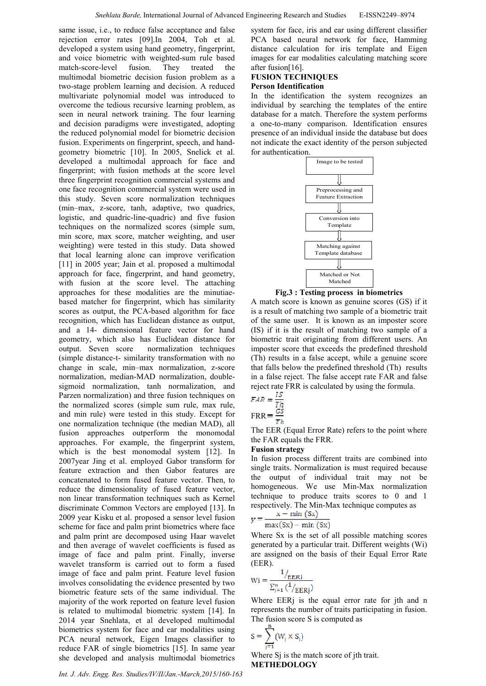same issue, i.e., to reduce false acceptance and false rejection error rates [09].In 2004, Toh et al. developed a system using hand geometry, fingerprint, and voice biometric with weighted-sum rule based match-score-level fusion. They treated the multimodal biometric decision fusion problem as a two-stage problem learning and decision. A reduced multivariate polynomial model was introduced to overcome the tedious recursive learning problem, as seen in neural network training. The four learning and decision paradigms were investigated, adopting the reduced polynomial model for biometric decision fusion. Experiments on fingerprint, speech, and handgeometry biometric [10]. In 2005, Snelick et al. developed a multimodal approach for face and fingerprint; with fusion methods at the score level three fingerprint recognition commercial systems and one face recognition commercial system were used in this study. Seven score normalization techniques (min–max, z-score, tanh, adaptive, two quadrics, logistic, and quadric-line-quadric) and five fusion techniques on the normalized scores (simple sum, min score, max score, matcher weighting, and user weighting) were tested in this study. Data showed that local learning alone can improve verification [11] in 2005 year; Jain et al. proposed a multimodal approach for face, fingerprint, and hand geometry, with fusion at the score level. The attaching approaches for these modalities are the minutiaebased matcher for fingerprint, which has similarity scores as output, the PCA-based algorithm for face recognition, which has Euclidean distance as output, and a 14- dimensional feature vector for hand geometry, which also has Euclidean distance for output. Seven score normalization techniques (simple distance-t- similarity transformation with no change in scale, min–max normalization, z-score normalization, median-MAD normalization, doublesigmoid normalization, tanh normalization, and Parzen normalization) and three fusion techniques on the normalized scores (simple sum rule, max rule, and min rule) were tested in this study. Except for one normalization technique (the median MAD), all fusion approaches outperform the monomodal approaches. For example, the fingerprint system, which is the best monomodal system [12]. In 2007year Jing et al. employed Gabor transform for feature extraction and then Gabor features are concatenated to form fused feature vector. Then, to reduce the dimensionality of fused feature vector, non linear transformation techniques such as Kernel discriminate Common Vectors are employed [13]. In 2009 year Kisku et al. proposed a sensor level fusion scheme for face and palm print biometrics where face and palm print are decomposed using Haar wavelet and then average of wavelet coefficients is fused as image of face and palm print. Finally, inverse wavelet transform is carried out to form a fused image of face and palm print. Feature level fusion involves consolidating the evidence presented by two biometric feature sets of the same individual. The majority of the work reported on feature level fusion is related to multimodal biometric system [14]. In 2014 year Snehlata, et al developed multimodal biometrics system for face and ear modalities using PCA neural network, Eigen Images classifier to reduce FAR of single biometrics [15]. In same year she developed and analysis multimodal biometrics

*Int. J. Adv. Engg. Res. Studies/IV/II/Jan.-March,2015/160-163*

system for face, iris and ear using different classifier PCA based neural network for face, Hamming distance calculation for iris template and Eigen images for ear modalities calculating matching score after fusion[16].

## FUSION TECHNIQUES Person Identification

In the identification the system recognizes an individual by searching the templates of the entire database for a match. Therefore the system performs a one-to-many comparison. Identification ensures presence of an individual inside the database but does not indicate the exact identity of the person subjected for authentication.



Fig.3 : Testing process in biometrics

A match score is known as genuine scores (GS) if it is a result of matching two sample of a biometric trait of the same user. It is known as an imposter score (IS) if it is the result of matching two sample of a biometric trait originating from different users. An imposter score that exceeds the predefined threshold (Th) results in a false accept, while a genuine score that falls below the predefined threshold (Th) results in a false reject. The false accept rate FAR and false reject rate FRR is calculated by using the formula.

$$
FAR = \frac{P}{Th}
$$

$$
FRR = \frac{W}{Th}
$$

The EER (Equal Error Rate) refers to the point where the FAR equals the FRR.

# Fusion strategy

In fusion process different traits are combined into single traits. Normalization is must required because the output of individual trait may not be homogeneous. We use Min-Max normalization technique to produce traits scores to 0 and 1 respectively. The Min-Max technique computes as  $x = min(Sx)$ 

$$
y = \frac{1}{\max(\text{Sx}) - \min(\text{Sx})}
$$

Where Sx is the set of all possible matching scores generated by a particular trait. Different weights (Wi) are assigned on the basis of their Equal Error Rate (EER).

$$
Ni = \frac{1/_{\text{EERi}}}{\sum_{j=1}^{n} \left(\frac{1}{_{\text{EERj}}}\right)}
$$

Where EER<sub>j</sub> is the equal error rate for jth and n represents the number of traits participating in fusion. The fusion score S is computed as

$$
S = \sum_{j=1}^{n} (W_j \times S_j)
$$

Where S<sub>j</sub> is the match score of jth trait. METHEDOLOGY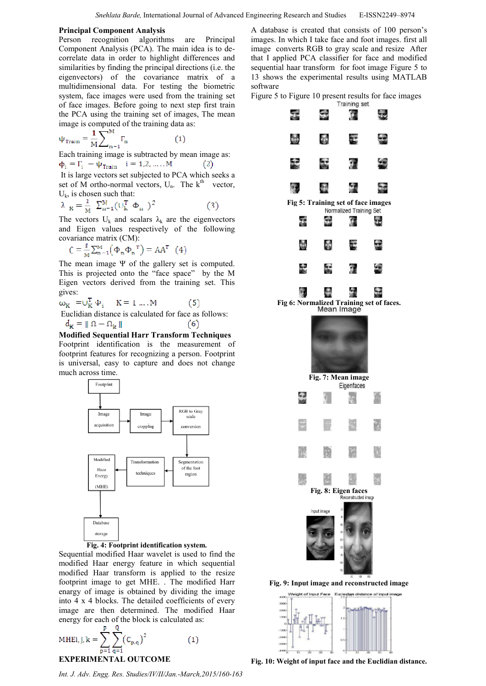## Principal Component Analysis

Person recognition algorithms are Principal Component Analysis (PCA). The main idea is to decorrelate data in order to highlight differences and similarities by finding the principal directions (i.e. the eigenvectors) of the covariance matrix of a multidimensional data. For testing the biometric system, face images were used from the training set of face images. Before going to next step first train the PCA using the training set of images, The mean image is computed of the training data as:

$$
\Psi_{\text{Train}} = \frac{1}{M} \sum_{n=1}^{M} \Gamma_n \tag{1}
$$

Each training image is subtracted by mean image as:  $\phi_i = \Gamma_i - \psi_{Train}$   $i = 1, 2, .... . M$  $(2)$ 

It is large vectors set subjected to PCA which seeks a set of M ortho-normal vectors,  $U_n$ . The  $k^{th}$  vector,  $U_k$ , is chosen such that:

$$
\lambda_{\mathbf{K}} = \frac{1}{M} \sum_{n=1}^{M} (U_{\mathbf{K}}^{T} \Phi_{n})^{2}
$$
 (3)

The vectors  $U_k$  and scalars  $\lambda_k$  are the eigenvectors and Eigen values respectively of the following covariance matrix (CM):

$$
C = \frac{1}{M} \sum_{n=1}^{M} (\Phi_n \Phi_n^T) = AA^T \quad (4)
$$

The mean image Ψ of the gallery set is computed. This is projected onto the "face space" by the M Eigen vectors derived from the training set. This gives:

 $\omega_{\rm K}$  = $\cup_{\rm K}^{\rm T}$   $\Phi_{\rm i}$  =  ${\rm K}$  = 1 ... M  $(5)$ Euclidian distance is calculated for face as follows:  $d_{\mathbf{k}} = || \Omega - \Omega_{\mathbf{k}} ||$  $(6)$ 

Modified Sequential Harr Transform Techniques Footprint identification is the measurement of footprint features for recognizing a person. Footprint is universal, easy to capture and does not change much across time.



Fig. 4: Footprint identification system.

Sequential modified Haar wavelet is used to find the modified Haar energy feature in which sequential modified Haar transform is applied to the resize footprint image to get MHE. . The modified Harr enargy of image is obtained by dividing the image into 4 x 4 blocks. The detailed coefficients of every image are then determined. The modified Haar energy for each of the block is calculated as:

MHEi, j, k = 
$$
\sum_{p=1}^{p} \sum_{q=1}^{q} (C_{p,q})^2
$$
 (1)

## EXPERIMENTAL OUTCOME

*Int. J. Adv. Engg. Res. Studies/IV/II/Jan.-March,2015/160-163*

A database is created that consists of 100 person's images. In which I take face and foot images. first all image converts RGB to gray scale and resize After that I applied PCA classifier for face and modified sequential haar transform for foot image Figure 5 to 13 shows the experimental results using MATLAB software

Figure 5 to Figure 10 present results for face images<br>Training set





Fig. 10: Weight of input face and the Euclidian distance.